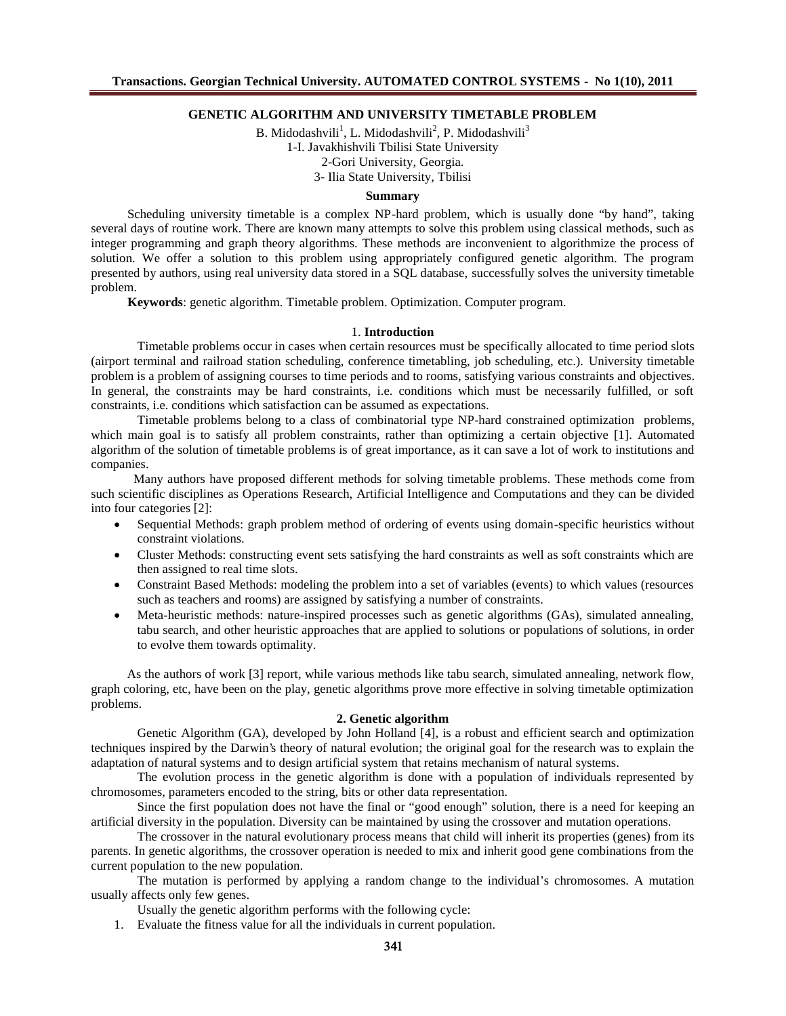# **GENETIC ALGORITHM AND UNIVERSITY TIMETABLE PROBLEM**

B. Midodashvili<sup>1</sup>, L. Midodashvili<sup>2</sup>, P. Midodashvili<sup>3</sup> 1-I. Javakhishvili Tbilisi State University 2-Gori University, Georgia. 3- Ilia State University, Tbilisi

### **Summary**

Scheduling university timetable is a complex NP-hard problem, which is usually done "by hand", taking several days of routine work. There are known many attempts to solve this problem using classical methods, such as integer programming and graph theory algorithms. These methods are inconvenient to algorithmize the process of solution. We offer a solution to this problem using appropriately configured genetic algorithm. The program presented by authors, using real university data stored in a SQL database, successfully solves the university timetable problem.

**Keywords**: genetic algorithm. Timetable problem. Optimization. Computer program.

#### 1. **Introduction**

Timetable problems occur in cases when certain resources must be specifically allocated to time period slots (airport terminal and railroad station scheduling, conference timetabling, job scheduling, etc.). University timetable problem is a problem of assigning courses to time periods and to rooms, satisfying various constraints and objectives. In general, the constraints may be hard constraints, i.e. conditions which must be necessarily fulfilled, or soft constraints, i.e. conditions which satisfaction can be assumed as expectations.

Timetable problems belong to a class of combinatorial type NP-hard constrained optimization problems, which main goal is to satisfy all problem constraints, rather than optimizing a certain objective [1]. Automated algorithm of the solution of timetable problems is of great importance, as it can save a lot of work to institutions and companies.

Many authors have proposed different methods for solving timetable problems. These methods come from such scientific disciplines as Operations Research, Artificial Intelligence and Computations and they can be divided into four categories [2]:

- Sequential Methods: graph problem method of ordering of events using domain-specific heuristics without constraint violations.
- Cluster Methods: constructing event sets satisfying the hard constraints as well as soft constraints which are then assigned to real time slots.
- Constraint Based Methods: modeling the problem into a set of variables (events) to which values (resources such as teachers and rooms) are assigned by satisfying a number of constraints.
- Meta-heuristic methods: nature-inspired processes such as genetic algorithms (GAs), simulated annealing, tabu search, and other heuristic approaches that are applied to solutions or populations of solutions, in order to evolve them towards optimality.

As the authors of work [3] report, while various methods like tabu search, simulated annealing, network flow, graph coloring, etc, have been on the play, genetic algorithms prove more effective in solving timetable optimization problems.

### **2. Genetic algorithm**

Genetic Algorithm (GA), developed by John Holland [4], is a robust and efficient search and optimization techniques inspired by the Darwin's theory of natural evolution; the original goal for the research was to explain the adaptation of natural systems and to design artificial system that retains mechanism of natural systems.

The evolution process in the genetic algorithm is done with a population of individuals represented by chromosomes, parameters encoded to the string, bits or other data representation.

Since the first population does not have the final or "good enough" solution, there is a need for keeping an artificial diversity in the population. Diversity can be maintained by using the crossover and mutation operations.

The crossover in the natural evolutionary process means that child will inherit its properties (genes) from its parents. In genetic algorithms, the crossover operation is needed to mix and inherit good gene combinations from the current population to the new population.

The mutation is performed by applying a random change to the individual's chromosomes. A mutation usually affects only few genes.

Usually the genetic algorithm performs with the following cycle:

1. Evaluate the fitness value for all the individuals in current population.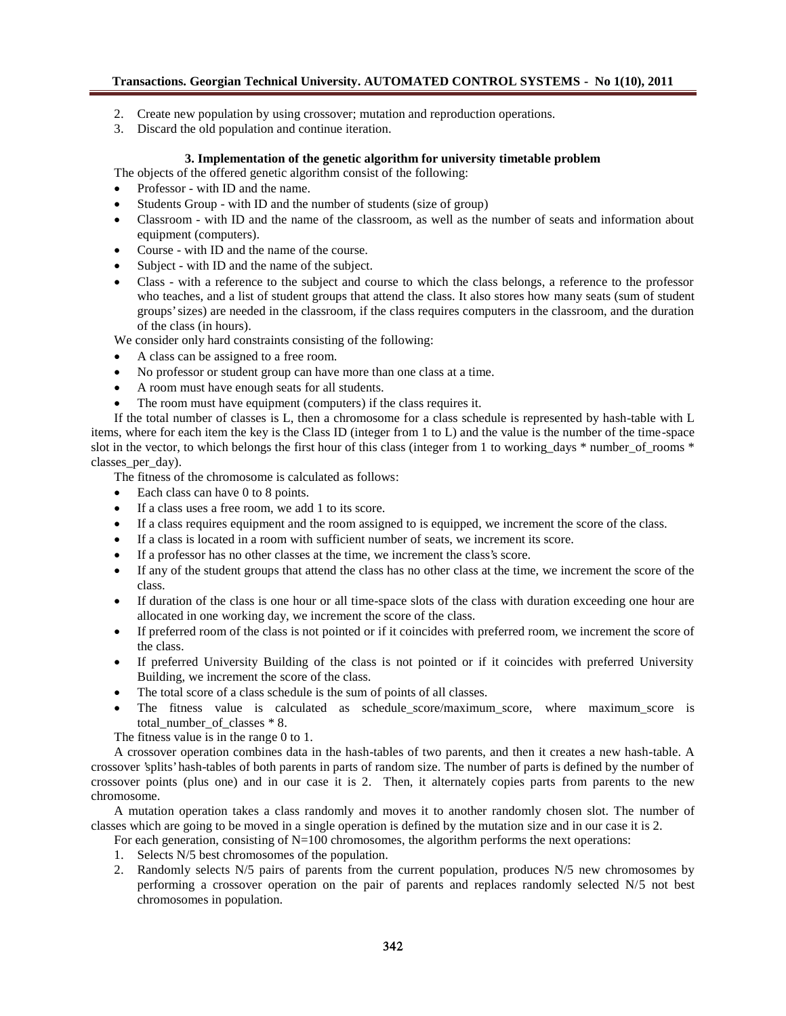- 2. Create new population by using crossover; mutation and reproduction operations.
- 3. Discard the old population and continue iteration.

# **3. Implementation of the genetic algorithm for university timetable problem**

The objects of the offered genetic algorithm consist of the following:

- Professor with ID and the name.
- Students Group with ID and the number of students (size of group)
- Classroom with ID and the name of the classroom, as well as the number of seats and information about equipment (computers).
- Course with ID and the name of the course.
- Subject with ID and the name of the subject.
- Class with a reference to the subject and course to which the class belongs, a reference to the professor who teaches, and a list of student groups that attend the class. It also stores how many seats (sum of student groups' sizes) are needed in the classroom, if the class requires computers in the classroom, and the duration of the class (in hours).

We consider only hard constraints consisting of the following:

- A class can be assigned to a free room.
- No professor or student group can have more than one class at a time.
- A room must have enough seats for all students.
- The room must have equipment (computers) if the class requires it.

If the total number of classes is L, then a chromosome for a class schedule is represented by hash-table with L items, where for each item the key is the Class ID (integer from 1 to L) and the value is the number of the time-space slot in the vector, to which belongs the first hour of this class (integer from 1 to working days  $*$  number of rooms  $*$ classes\_per\_day).

The fitness of the chromosome is calculated as follows:

- Each class can have 0 to 8 points.
- If a class uses a free room, we add 1 to its score.
- If a class requires equipment and the room assigned to is equipped, we increment the score of the class.
- If a class is located in a room with sufficient number of seats, we increment its score.
- If a professor has no other classes at the time, we increment the class's score.
- If any of the student groups that attend the class has no other class at the time, we increment the score of the class.
- If duration of the class is one hour or all time-space slots of the class with duration exceeding one hour are allocated in one working day, we increment the score of the class.
- If preferred room of the class is not pointed or if it coincides with preferred room, we increment the score of the class.
- If preferred University Building of the class is not pointed or if it coincides with preferred University Building, we increment the score of the class.
- The total score of a class schedule is the sum of points of all classes.
- The fitness value is calculated as schedule\_score/maximum\_score, where maximum\_score is total\_number\_of\_classes \* 8.

The fitness value is in the range 0 to 1.

A crossover operation combines data in the hash-tables of two parents, and then it creates a new hash-table. A crossover 'splits' hash-tables of both parents in parts of random size. The number of parts is defined by the number of crossover points (plus one) and in our case it is 2. Then, it alternately copies parts from parents to the new chromosome.

A mutation operation takes a class randomly and moves it to another randomly chosen slot. The number of classes which are going to be moved in a single operation is defined by the mutation size and in our case it is 2.

- For each generation, consisting of N=100 chromosomes, the algorithm performs the next operations:
- 1. Selects N/5 best chromosomes of the population.
- 2. Randomly selects N/5 pairs of parents from the current population, produces N/5 new chromosomes by performing a crossover operation on the pair of parents and replaces randomly selected N/5 not best chromosomes in population.